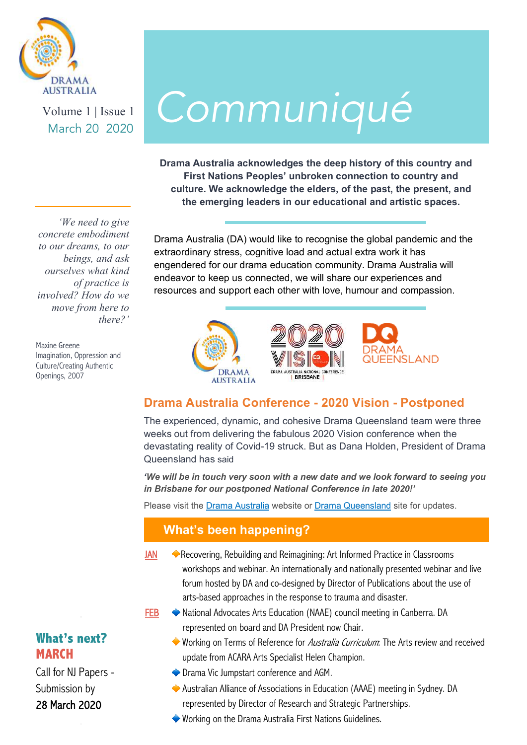

Volume 1 | Issue 1

# $\mathcal{M}_{\text{Volume 1}|\text{Iissue 1}} \text{Common}$

**Drama Australia acknowledges the deep history of this country and First Nations Peoples' unbroken connection to country and culture. We acknowledge the elders, of the past, the present, and the emerging leaders in our educational and artistic spaces.**

Drama Australia (DA) would like to recognise the global pandemic and the extraordinary stress, cognitive load and actual extra work it has engendered for our drama education community. Drama Australia will endeavor to keep us connected, we will share our experiences and resources and support each other with love, humour and compassion.



### **Drama Australia Conference - 2020 Vision - Postponed**

The experienced, dynamic, and cohesive Drama Queensland team were three weeks out from delivering the fabulous 2020 Vision conference when the devastating reality of Covid-19 struck. But as Dana Holden, President of Drama Queensland has said

*'We will be in touch very soon with a new date and we look forward to seeing you in Brisbane for our postponed National Conference in late 2020!'* 

Please visit the [Drama Australia](https://dramaaustralia.org.au/) website or [Drama Queensland](http://www.dramaqueensland.org.au/) site for updates.

#### **What's been happening?**

- JAN Recovering, Rebuilding and Reimagining: Art Informed Practice in Classrooms workshops and webinar. An internationally and nationally presented webinar and live forum hosted by DA and co-designed by Director of Publications about the use of arts-based approaches in the response to trauma and disaster.
- **FEB** ◆ National Advocates Arts Education (NAAE) council meeting in Canberra. DA represented on board and DA President now Chair.
	- Working on Terms of Reference for *Australia Curriculum*: The Arts review and received update from ACARA Arts Specialist Helen Champion.
	- ◆ Drama Vic Jumpstart conference and AGM.
	- Australian Alliance of Associations in Education (AAAE) meeting in Sydney. DA represented by Director of Research and Strategic Partnerships.
	- Working on the Drama Australia First Nations Guidelines.

*'We need to give concrete embodiment to our dreams, to our beings, and ask ourselves what kind of practice is involved? How do we move from here to there?'* 

Maxine Greene Imagination, Oppression and Culture/Creating Authentic Openings, 2007

## **What's next? MARCH**

[Call for NJ Papers -](https://dramaaustralia.org.au/national-journal-2/)  Submission by 28 March 2020